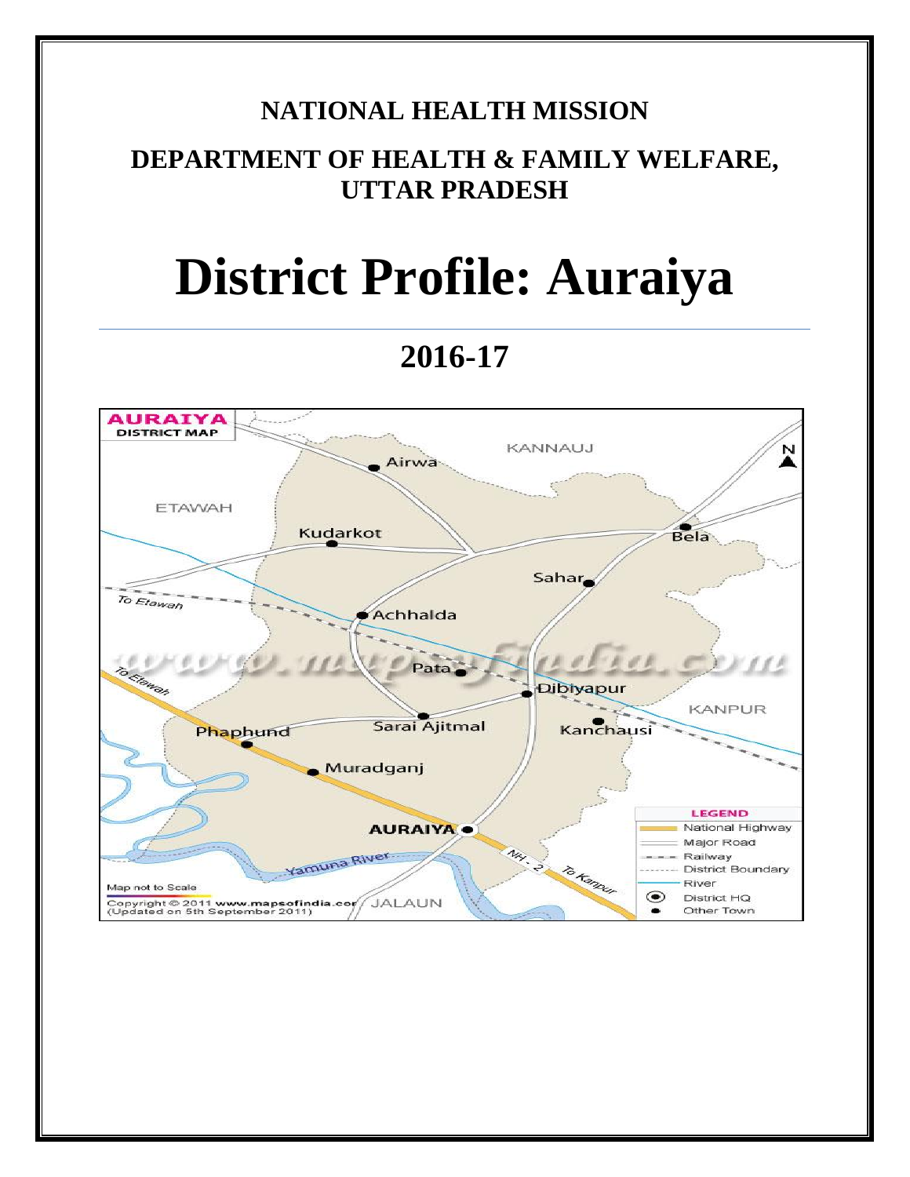# **NATIONAL HEALTH MISSION**

# **DEPARTMENT OF HEALTH & FAMILY WELFARE, UTTAR PRADESH**

# **District Profile: Auraiya**

# **2016-17**

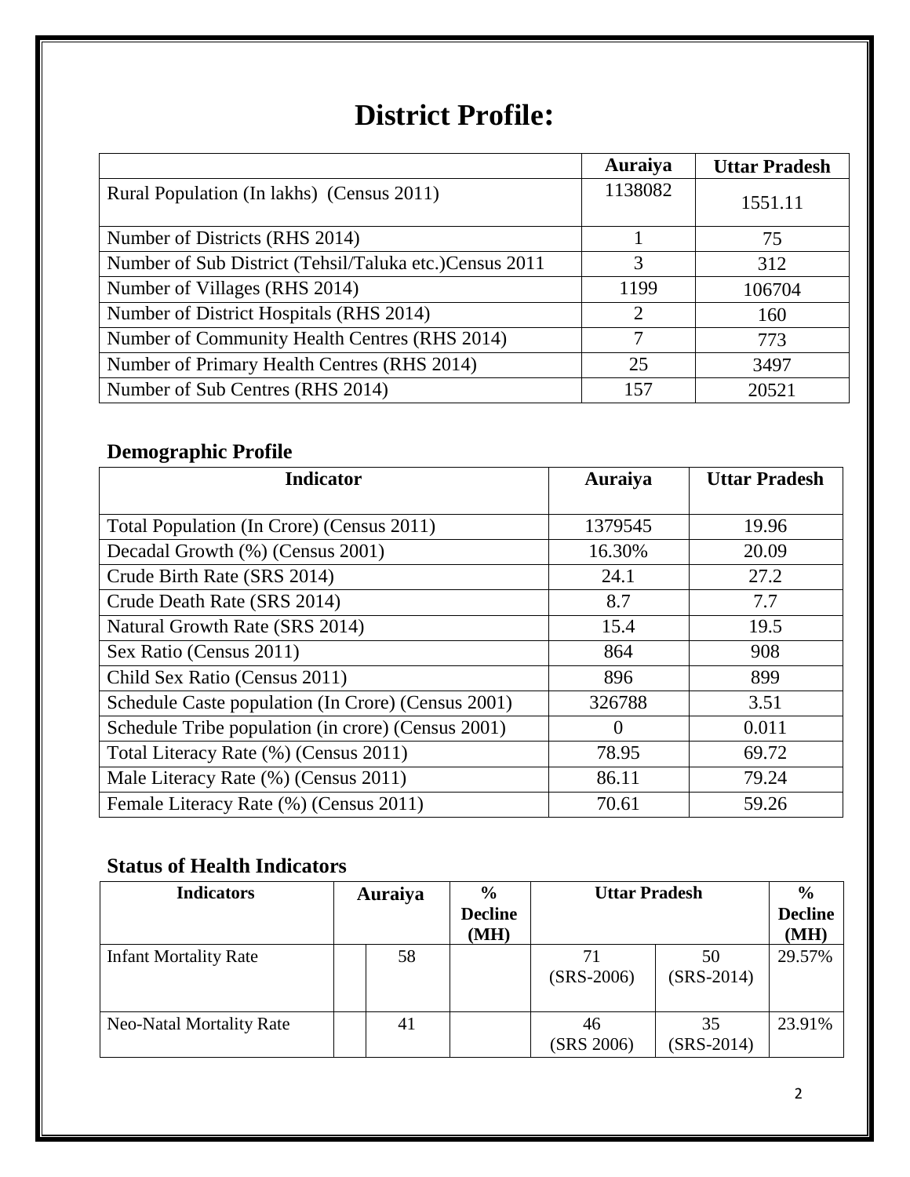# **District Profile:**

|                                                        | Auraiya                     | <b>Uttar Pradesh</b> |
|--------------------------------------------------------|-----------------------------|----------------------|
| Rural Population (In lakhs) (Census 2011)              | 1138082                     | 1551.11              |
| Number of Districts (RHS 2014)                         |                             | 75                   |
| Number of Sub District (Tehsil/Taluka etc.)Census 2011 | 3                           | 312                  |
| Number of Villages (RHS 2014)                          | 1199                        | 106704               |
| Number of District Hospitals (RHS 2014)                | $\mathcal{D}_{\mathcal{L}}$ | 160                  |
| Number of Community Health Centres (RHS 2014)          |                             | 773                  |
| Number of Primary Health Centres (RHS 2014)            | 25                          | 3497                 |
| Number of Sub Centres (RHS 2014)                       | 157                         | 20521                |

## **Demographic Profile**

| <b>Indicator</b>                                   | Auraiya  | <b>Uttar Pradesh</b> |
|----------------------------------------------------|----------|----------------------|
|                                                    |          |                      |
| Total Population (In Crore) (Census 2011)          | 1379545  | 19.96                |
| Decadal Growth (%) (Census 2001)                   | 16.30%   | 20.09                |
| Crude Birth Rate (SRS 2014)                        | 24.1     | 27.2                 |
| Crude Death Rate (SRS 2014)                        | 8.7      | 7.7                  |
| Natural Growth Rate (SRS 2014)                     | 15.4     | 19.5                 |
| Sex Ratio (Census 2011)                            | 864      | 908                  |
| Child Sex Ratio (Census 2011)                      | 896      | 899                  |
| Schedule Caste population (In Crore) (Census 2001) | 326788   | 3.51                 |
| Schedule Tribe population (in crore) (Census 2001) | $\theta$ | 0.011                |
| Total Literacy Rate (%) (Census 2011)              | 78.95    | 69.72                |
| Male Literacy Rate (%) (Census 2011)               | 86.11    | 79.24                |
| Female Literacy Rate (%) (Census 2011)             | 70.61    | 59.26                |

### **Status of Health Indicators**

| <b>Indicators</b>               | Auraiya | $\frac{6}{9}$<br><b>Decline</b><br>(MH) | <b>Uttar Pradesh</b> |                    | $\frac{6}{9}$<br><b>Decline</b><br>(MH) |
|---------------------------------|---------|-----------------------------------------|----------------------|--------------------|-----------------------------------------|
| <b>Infant Mortality Rate</b>    | 58      |                                         | 71<br>$(SRS-2006)$   | 50<br>$(SRS-2014)$ | 29.57%                                  |
| <b>Neo-Natal Mortality Rate</b> | 41      |                                         | 46<br>(SRS 2006)     | 35<br>$(SRS-2014)$ | 23.91%                                  |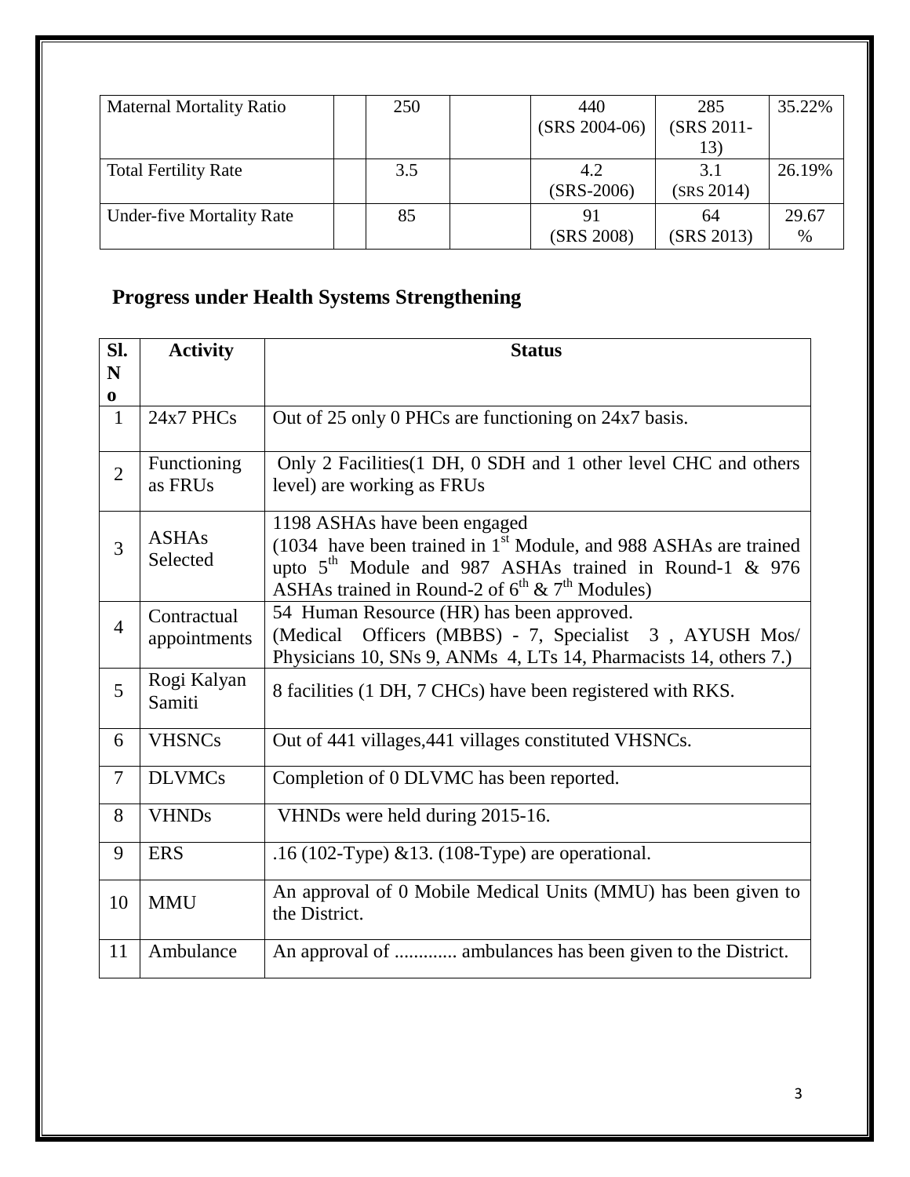| <b>Maternal Mortality Ratio</b>  | 250 | 440<br>$(SRS 2004-06)$ | 285<br>(SRS 2011-        | 35.22%        |
|----------------------------------|-----|------------------------|--------------------------|---------------|
| <b>Total Fertility Rate</b>      | 3.5 | 4.2<br>$(SRS-2006)$    | 13)<br>3.1<br>(SRS 2014) | 26.19%        |
| <b>Under-five Mortality Rate</b> | 85  | 91<br>(SRS 2008)       | 64<br>(SRS 2013)         | 29.67<br>$\%$ |

# **Progress under Health Systems Strengthening**

| SI.<br>N       | <b>Activity</b>             | <b>Status</b>                                                                                                                                                                                                                        |
|----------------|-----------------------------|--------------------------------------------------------------------------------------------------------------------------------------------------------------------------------------------------------------------------------------|
| 0              |                             |                                                                                                                                                                                                                                      |
| $\mathbf{1}$   | 24x7 PHCs                   | Out of 25 only 0 PHCs are functioning on 24x7 basis.                                                                                                                                                                                 |
| $\overline{2}$ | Functioning<br>as FRUs      | Only 2 Facilities (1 DH, 0 SDH and 1 other level CHC and others<br>level) are working as FRUs                                                                                                                                        |
| 3              | <b>ASHAs</b><br>Selected    | 1198 ASHAs have been engaged<br>(1034 have been trained in 1 <sup>st</sup> Module, and 988 ASHAs are trained<br>upto $5th$ Module and 987 ASHAs trained in Round-1 & 976<br>ASHAs trained in Round-2 of $6^{th}$ & $7^{th}$ Modules) |
| $\overline{4}$ | Contractual<br>appointments | 54 Human Resource (HR) has been approved.<br>(Medical Officers (MBBS) - 7, Specialist 3, AYUSH Mos/<br>Physicians 10, SNs 9, ANMs 4, LTs 14, Pharmacists 14, others 7.)                                                              |
| 5              | Rogi Kalyan<br>Samiti       | 8 facilities (1 DH, 7 CHCs) have been registered with RKS.                                                                                                                                                                           |
| 6              | <b>VHSNCs</b>               | Out of 441 villages, 441 villages constituted VHSNCs.                                                                                                                                                                                |
| 7              | <b>DLVMCs</b>               | Completion of 0 DLVMC has been reported.                                                                                                                                                                                             |
| 8              | <b>VHNDs</b>                | VHNDs were held during 2015-16.                                                                                                                                                                                                      |
| 9              | <b>ERS</b>                  | .16 (102-Type) & 13. (108-Type) are operational.                                                                                                                                                                                     |
| 10             | <b>MMU</b>                  | An approval of 0 Mobile Medical Units (MMU) has been given to<br>the District.                                                                                                                                                       |
| 11             | Ambulance                   | An approval of  ambulances has been given to the District.                                                                                                                                                                           |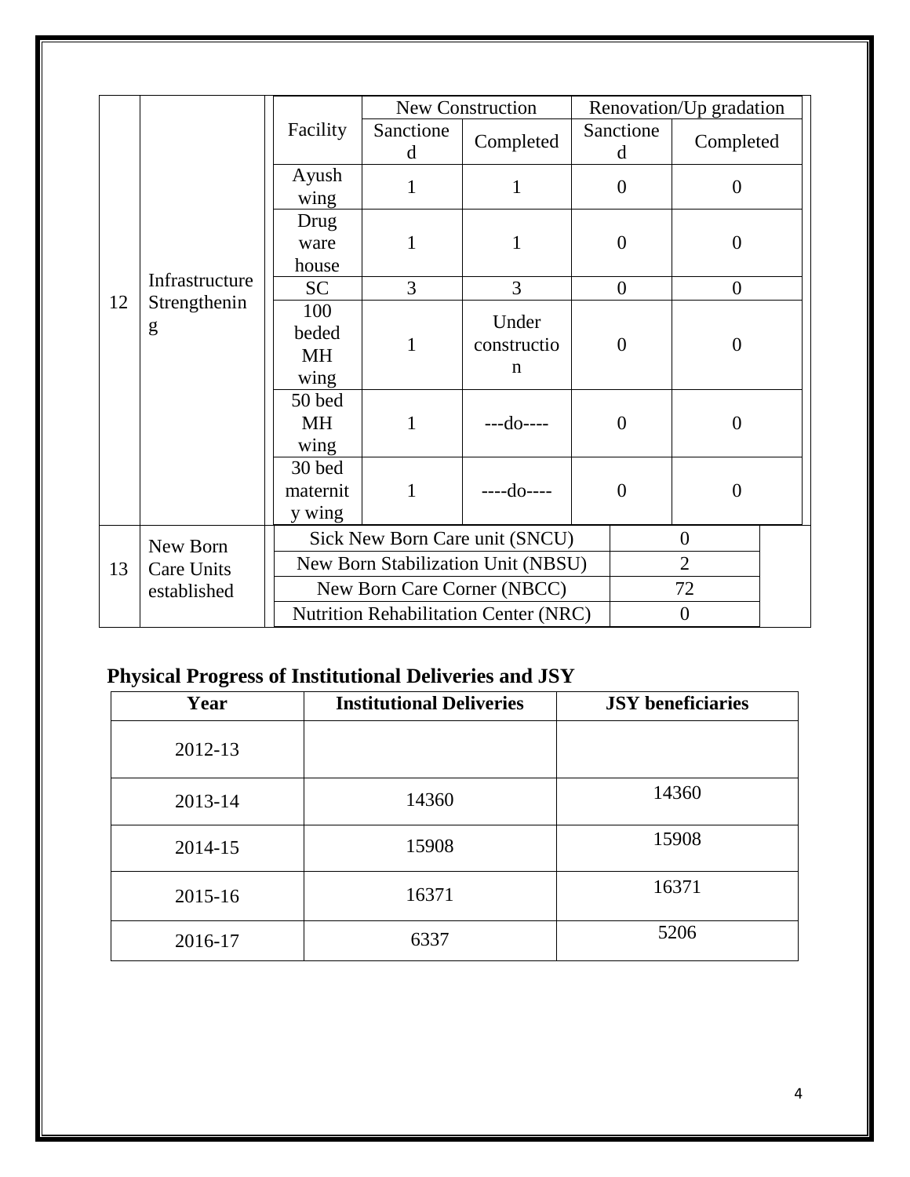|    |                                              |                                    |                                | <b>New Construction</b>             |                | Renovation/Up gradation |  |
|----|----------------------------------------------|------------------------------------|--------------------------------|-------------------------------------|----------------|-------------------------|--|
|    |                                              | Facility                           | Sanctione<br>d                 | Completed                           | Sanctione<br>d | Completed               |  |
|    |                                              | Ayush<br>wing                      | 1                              | 1                                   | $\overline{0}$ | $\overline{0}$          |  |
|    |                                              | Drug<br>ware<br>house              | 1                              | $\mathbf{1}$                        | $\overline{0}$ | $\overline{0}$          |  |
|    | Infrastructure                               | <b>SC</b>                          | 3                              | 3                                   | $\overline{0}$ | $\overline{0}$          |  |
| 12 | Strengthenin<br>g                            | 100<br>beded<br>MH<br>wing         | $\mathbf{1}$                   | Under<br>constructio<br>$\mathbf n$ | $\overline{0}$ | $\theta$                |  |
|    |                                              | 50 bed<br>MH<br>wing               | 1                              | ---do----                           | $\theta$       | $\overline{0}$          |  |
|    |                                              | 30 bed<br>maternit<br>y wing       | 1                              | $---do---$                          | $\overline{0}$ | $\overline{0}$          |  |
|    | New Born                                     |                                    | Sick New Born Care unit (SNCU) |                                     |                |                         |  |
| 13 | <b>Care Units</b>                            | New Born Stabilization Unit (NBSU) |                                |                                     |                | $\overline{2}$          |  |
|    | established                                  |                                    |                                | New Born Care Corner (NBCC)         |                | 72                      |  |
|    | <b>Nutrition Rehabilitation Center (NRC)</b> |                                    |                                |                                     |                | $\boldsymbol{0}$        |  |

# **Physical Progress of Institutional Deliveries and JSY**

| Year        | <b>Institutional Deliveries</b> | <b>JSY</b> beneficiaries |
|-------------|---------------------------------|--------------------------|
| 2012-13     |                                 |                          |
| 2013-14     | 14360                           | 14360                    |
| 2014-15     | 15908                           | 15908                    |
| $2015 - 16$ | 16371                           | 16371                    |
| 2016-17     | 6337                            | 5206                     |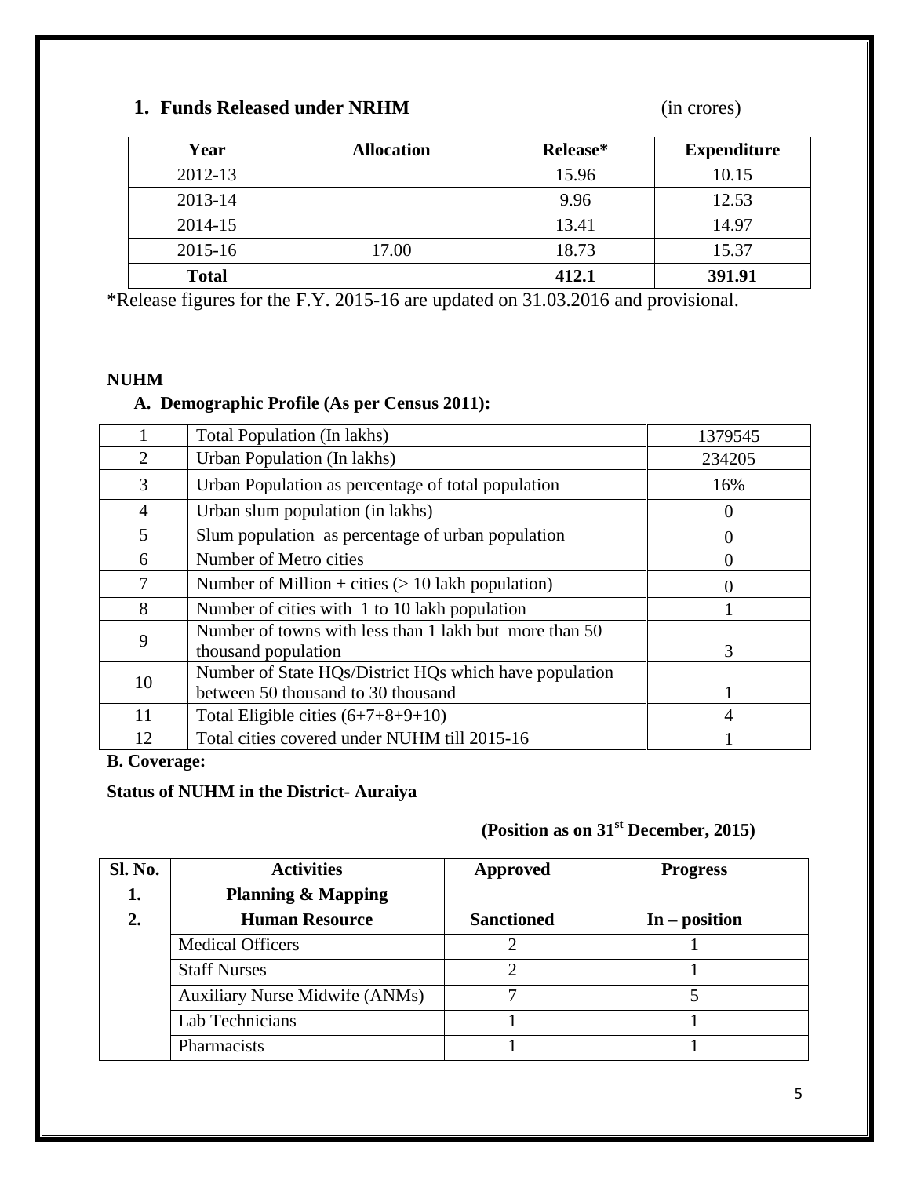#### **1. Funds Released under NRHM** (in crores)

| Year         | <b>Allocation</b> | Release* | <b>Expenditure</b> |
|--------------|-------------------|----------|--------------------|
| 2012-13      |                   | 15.96    | 10.15              |
| $2013 - 14$  |                   | 9.96     | 12.53              |
| 2014-15      |                   | 13.41    | 14.97              |
| 2015-16      | 17.00             | 18.73    | 15.37              |
| <b>Total</b> |                   | 412.1    | 391.91             |

\*Release figures for the F.Y. 2015-16 are updated on 31.03.2016 and provisional.

#### **NUHM**

#### **A. Demographic Profile (As per Census 2011):**

|                | Total Population (In lakhs)                                                                  | 1379545      |
|----------------|----------------------------------------------------------------------------------------------|--------------|
| 2              | Urban Population (In lakhs)                                                                  | 234205       |
| 3              | Urban Population as percentage of total population                                           | 16%          |
| $\overline{4}$ | Urban slum population (in lakhs)                                                             | $\theta$     |
| 5              | Slum population as percentage of urban population                                            | $\mathbf{0}$ |
| 6              | Number of Metro cities                                                                       |              |
| 7              | Number of Million + cities $(> 10$ lakh population)                                          |              |
| 8              | Number of cities with 1 to 10 lakh population                                                |              |
| 9              | Number of towns with less than 1 lakh but more than 50<br>thousand population                | 3            |
| 10             | Number of State HQs/District HQs which have population<br>between 50 thousand to 30 thousand |              |
| 11             | Total Eligible cities $(6+7+8+9+10)$                                                         | 4            |
| 12             | Total cities covered under NUHM till 2015-16                                                 |              |

#### **B. Coverage:**

#### **Status of NUHM in the District- Auraiya**

### **(Position as on 31st December, 2015)**

| Sl. No. | <b>Activities</b>                     | Approved          | <b>Progress</b> |
|---------|---------------------------------------|-------------------|-----------------|
|         | <b>Planning &amp; Mapping</b>         |                   |                 |
| 2.      | <b>Human Resource</b>                 | <b>Sanctioned</b> | $In - position$ |
|         | <b>Medical Officers</b>               |                   |                 |
|         | <b>Staff Nurses</b>                   |                   |                 |
|         | <b>Auxiliary Nurse Midwife (ANMs)</b> |                   |                 |
|         | Lab Technicians                       |                   |                 |
|         | Pharmacists                           |                   |                 |